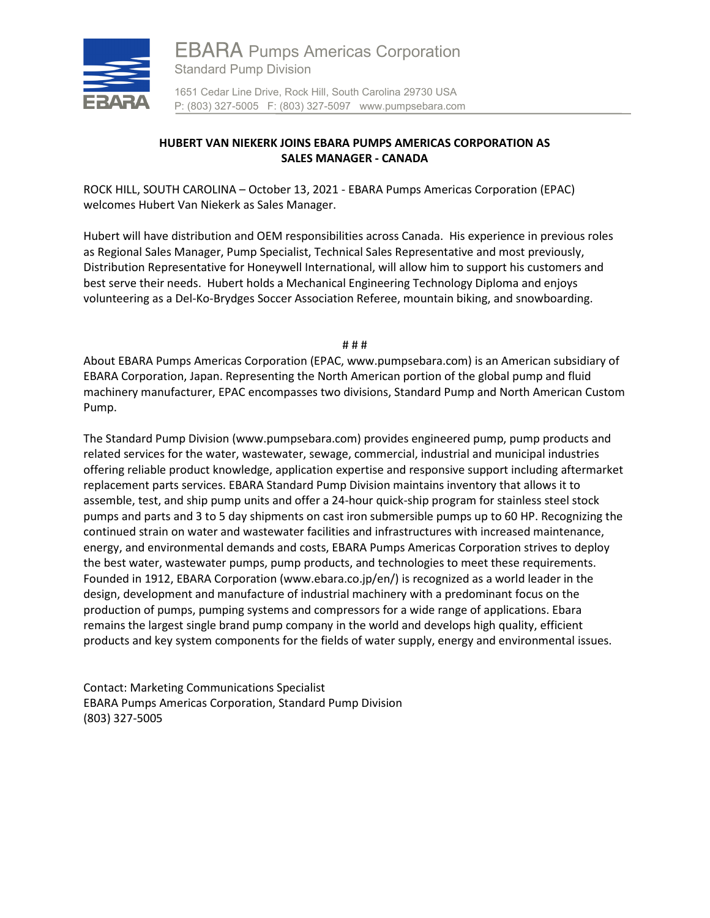

## **HUBERT VAN NIEKERK JOINS EBARA PUMPS AMERICAS CORPORATION AS SALES MANAGER - CANADA**

ROCK HILL, SOUTH CAROLINA – October 13, 2021 - EBARA Pumps Americas Corporation (EPAC) welcomes Hubert Van Niekerk as Sales Manager.

Hubert will have distribution and OEM responsibilities across Canada. His experience in previous roles as Regional Sales Manager, Pump Specialist, Technical Sales Representative and most previously, Distribution Representative for Honeywell International, will allow him to support his customers and best serve their needs. Hubert holds a Mechanical Engineering Technology Diploma and enjoys volunteering as a Del-Ko-Brydges Soccer Association Referee, mountain biking, and snowboarding.

# # #

About EBARA Pumps Americas Corporation (EPAC, www.pumpsebara.com) is an American subsidiary of EBARA Corporation, Japan. Representing the North American portion of the global pump and fluid machinery manufacturer, EPAC encompasses two divisions, Standard Pump and North American Custom Pump.

The Standard Pump Division (www.pumpsebara.com) provides engineered pump, pump products and related services for the water, wastewater, sewage, commercial, industrial and municipal industries offering reliable product knowledge, application expertise and responsive support including aftermarket replacement parts services. EBARA Standard Pump Division maintains inventory that allows it to assemble, test, and ship pump units and offer a 24-hour quick-ship program for stainless steel stock pumps and parts and 3 to 5 day shipments on cast iron submersible pumps up to 60 HP. Recognizing the continued strain on water and wastewater facilities and infrastructures with increased maintenance, energy, and environmental demands and costs, EBARA Pumps Americas Corporation strives to deploy the best water, wastewater pumps, pump products, and technologies to meet these requirements. Founded in 1912, EBARA Corporation (www.ebara.co.jp/en/) is recognized as a world leader in the design, development and manufacture of industrial machinery with a predominant focus on the production of pumps, pumping systems and compressors for a wide range of applications. Ebara remains the largest single brand pump company in the world and develops high quality, efficient products and key system components for the fields of water supply, energy and environmental issues.

Contact: Marketing Communications Specialist EBARA Pumps Americas Corporation, Standard Pump Division (803) 327-5005